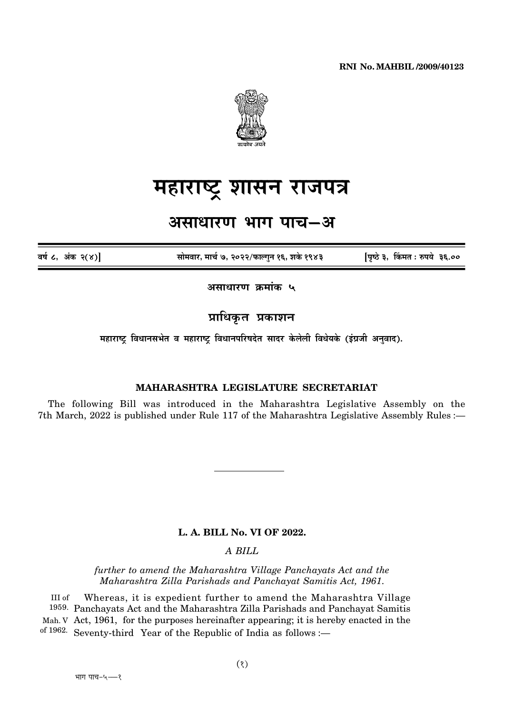

# महाराष्ट्र शासन राजपत्र

# असाधारण भाग पाच–अ

वर्ष ८, अंक २(४)

सोमवार, मार्च ७, २०२२/फाल्गन १६, शके १९४३

पिष्ठे ३, किंमत: रुपये ३६.००

असाधारण क्रमांक ५

प्राधिकृत प्रकाशन

महाराष्ट्र विधानसभेत व महाराष्ट्र विधानपरिषदेत सादर केलेली विधेयके (इंग्रजी अनुवाद).

# MAHARASHTRA LEGISLATURE SECRETARIAT

The following Bill was introduced in the Maharashtra Legislative Assembly on the 7th March, 2022 is published under Rule 117 of the Maharashtra Legislative Assembly Rules :-

#### L. A. BILL No. VI OF 2022.

### A BILL

further to amend the Maharashtra Village Panchayats Act and the Maharashtra Zilla Parishads and Panchayat Samitis Act. 1961.

III of Whereas, it is expedient further to amend the Maharashtra Village 1959. Panchayats Act and the Maharashtra Zilla Parishads and Panchayat Samitis Mah. V Act, 1961, for the purposes hereinafter appearing; it is hereby enacted in the of 1962. Seventy-third Year of the Republic of India as follows :-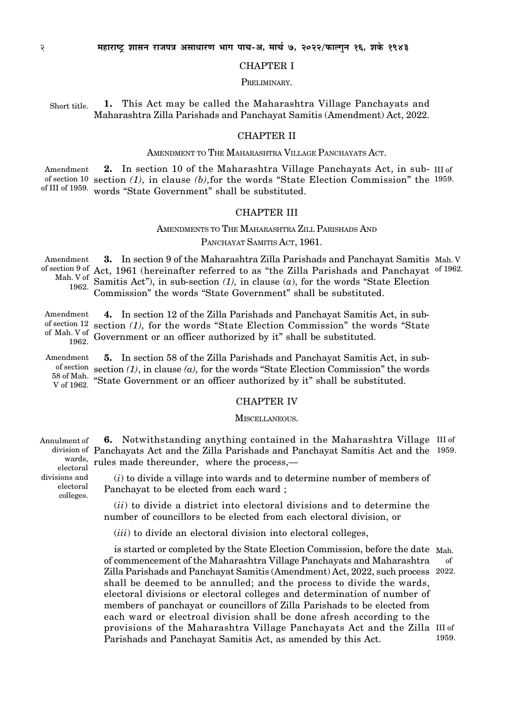#### CHAPTER I

PRELIMINARY.

1. This Act may be called the Maharashtra Village Panchayats and Maharashtra Zilla Parishads and Panchayat Samitis (Amendment) Act, 2022. Short title.

#### CHAPTER II

#### AMENDMENT TO THE MAHARASHTRA VILLAGE PANCHAYATS ACT.

2. In section 10 of the Maharashtra Village Panchayats Act, in sub- III of of section 10 section  $(1)$ , in clause  $(b)$ , for the words "State Election Commission" the 1959. of III of 1959. words "State Government" shall be substituted. Amendment

#### CHAPTER III

## AMENDMENTS TO THE MAHARASHTRA ZILL PARISHADS AND PANCHAYAT SAMITIS ACT, 1961.

3. In section 9 of the Maharashtra Zilla Parishads and Panchayat Samitis Mah. V of section 9 of Act, 1961 (hereinafter referred to as "the Zilla Parishads and Panchayat of 1962. Mah. V of Samitis Act"), in sub-section (1), in clause (a), for the words "State Election Commission" the words "State Government" shall be substituted. Amendment 1962.

4. In section 12 of the Zilla Parishads and Panchayat Samitis Act, in subof section  $(1)$ , for the words "State Election Commission" the words "State Government or an officer authorized by it" shall be substituted. Amendment of Mah. V of 1962.

5. In section 58 of the Zilla Parishads and Panchayat Samitis Act, in subof section section (1), in clause (a), for the words "State Election Commission" the words  $^{58}$  of Mah.  $^{58}$  State Government or an officer authorized by it" shall be substituted. Amendment V of 1962.

#### CHAPTER IV

#### MISCELLANEOUS.

6. Notwithstanding anything contained in the Maharashtra Village III of division of Panchayats Act and the Zilla Parishads and Panchayat Samitis Act and the 1959. wards, rules made thereunder, where the process,— Annulment of

> $(i)$  to divide a village into wards and to determine number of members of Panchayat to be elected from each ward ;

> $(ii)$  to divide a district into electoral divisions and to determine the number of councillors to be elected from each electoral division, or

 $(iii)$  to divide an electoral division into electoral colleges,

is started or completed by the State Election Commission, before the date Mah. of commencement of the Maharashtra Village Panchayats and Maharashtra Zilla Parishads and Panchayat Samitis (Amendment) Act, 2022, such process 2022. shall be deemed to be annulled; and the process to divide the wards, electoral divisions or electoral colleges and determination of number of members of panchayat or councillors of Zilla Parishads to be elected from each ward or electroal division shall be done afresh according to the provisions of the Maharashtra Village Panchayats Act and the Zilla III of Parishads and Panchayat Samitis Act, as amended by this Act. of 1959.

electoral divisions and electoral colleges.